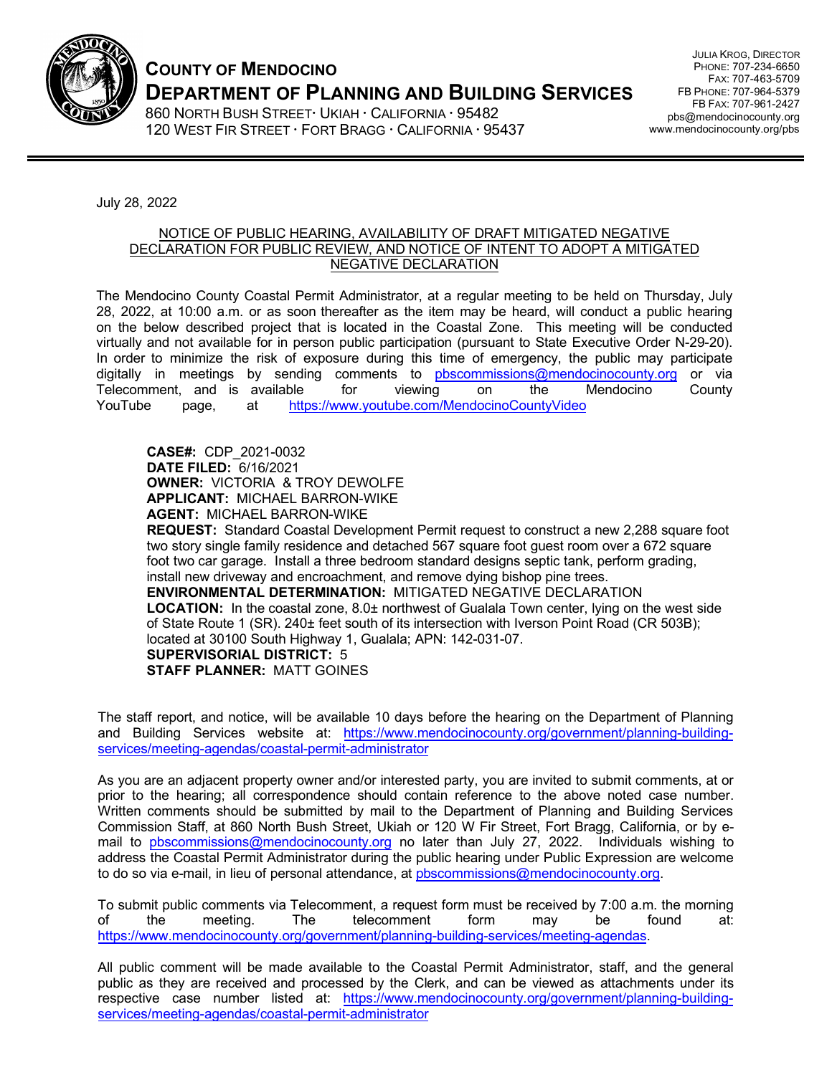

## **COUNTY OF MENDOCINO DEPARTMENT OF PLANNING AND BUILDING SERVICES**

860 NORTH BUSH STREET UKIAH · CALIFORNIA · 95482 120 WEST FIR STREET · FORT BRAGG · CALIFORNIA · 95437

JULIA KROG, DIRECTOR PHONE: 707-234-6650 FAX: 707-463-5709 FB PHONE: 707-964-5379 FB FAX: 707-961-2427 pbs@mendocinocounty.org www.mendocinocounty.org/pbs

July 28, 2022

## NOTICE OF PUBLIC HEARING, AVAILABILITY OF DRAFT MITIGATED NEGATIVE DECLARATION FOR PUBLIC REVIEW, AND NOTICE OF INTENT TO ADOPT A MITIGATED NEGATIVE DECLARATION

The Mendocino County Coastal Permit Administrator, at a regular meeting to be held on Thursday, July 28, 2022, at 10:00 a.m. or as soon thereafter as the item may be heard, will conduct a public hearing on the below described project that is located in the Coastal Zone. This meeting will be conducted virtually and not available for in person public participation (pursuant to State Executive Order N-29-20). In order to minimize the risk of exposure during this time of emergency, the public may participate digitally in meetings by sending comments t[o pbscommissions@mendocinocounty.org](mailto:pbscommissions@mendocinocounty.org) or via Telecomment, and is available for viewing on the Mendocino County [YouTube page, at https://www.youtub](https://www.youtube.com/MendocinoCountyVideo)e.com/MendocinoCountyVideo

**CASE#:** CDP\_2021-0032 **DATE FILED:** 6/16/2021 **OWNER:** VICTORIA & TROY DEWOLFE **APPLICANT:** MICHAEL BARRON-WIKE **AGENT:** MICHAEL BARRON-WIKE

**REQUEST:** Standard Coastal Development Permit request to construct a new 2,288 square foot two story single family residence and detached 567 square foot guest room over a 672 square foot two car garage. Install a three bedroom standard designs septic tank, perform grading, install new driveway and encroachment, and remove dying bishop pine trees. **ENVIRONMENTAL DETERMINATION:** MITIGATED NEGATIVE DECLARATION **LOCATION:** In the coastal zone, 8.0± northwest of Gualala Town center, lying on the west side

of State Route 1 (SR). 240± feet south of its intersection with Iverson Point Road (CR 503B); located at 30100 South Highway 1, Gualala; APN: 142-031-07. **SUPERVISORIAL DISTRICT:** 5

**STAFF PLANNER:** MATT GOINES

The staff report, and notice, will be available 10 days before the hearing on the Department of Planning and Building Services website at: [https://www.mendocinocounty.org/government/planning-building](https://www.mendocinocounty.org/government/planning-building-services/meeting-agendas/coastal-permit-administrator)[services/meeting-agendas/coastal-permit-administrator](https://www.mendocinocounty.org/government/planning-building-services/meeting-agendas/coastal-permit-administrator) 

As you are an adjacent property owner and/or interested party, you are invited to submit comments, at or prior to the hearing; all correspondence should contain reference to the above noted case number. Written comments should be submitted by mail to the Department of Planning and Building Services Commission Staff, at 860 North Bush Street, Ukiah or 120 W Fir Street, Fort Bragg, California, or by email t[o pbscommissions@mendocinocounty.org](mailto:pbscommissions@mendocinocounty.org) no later than July 27, 2022. Individuals wishing to address the Coastal Permit Administrator during the public hearing under Public Expression are welcome to do so via e-mail, in lieu of personal attendance, at pbscommissions@mendocinocounty.org.

To submit public comments via Telecomment, a request form must be received by 7:00 a.m. the morning of the meeting. The telecomment form may be found at: [https://www.mendocinocounty.org/government/planning-building-services/meeting-agendas.](https://www.mendocinocounty.org/government/planning-building-services/meeting-agendas)

All public comment will be made available to the Coastal Permit Administrator, staff, and the general public as they are received and processed by the Clerk, and can be viewed as attachments under its respective case number listed at: [https://www.mendocinocounty.org/government/planning-building](https://www.mendocinocounty.org/government/planning-building-services/meeting-agendas/coastal-permit-administrator)[services/meeting-agendas/coastal-permit-administrator](https://www.mendocinocounty.org/government/planning-building-services/meeting-agendas/coastal-permit-administrator)